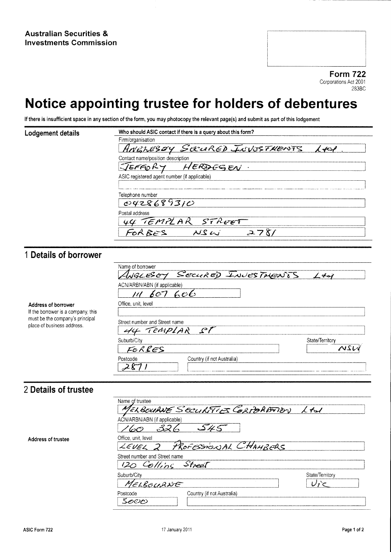**Form 722** Corporations Act 2001 283BC

# Notice appointing trustee for holders of debentures

If there is insufficient space in any section of the form, you may photocopy the relevant page(s) and submit as part of this lodgement

| Lodgement details | Who should ASIC contact if there is a query about this form? |
|-------------------|--------------------------------------------------------------|
|                   | Firm/organisation                                            |
|                   | ANGLESBY SECURED INVESTMENTS<br>$\lambda$ stask              |
|                   | Contact name/position description                            |
|                   | JEFFORY<br>HERDESEN                                          |
|                   | ASIC registered agent number (if applicable)                 |
|                   |                                                              |
|                   | Telephone number                                             |
|                   | 0428689310                                                   |
|                   | Postal address                                               |
|                   | 44 TEMPLAR STREET                                            |
|                   | XSU                                                          |

## 1 Details of borrower

| Address of borrower<br>If the borrower is a company, this<br>must be the company's principal<br>place of business address. | Name of borrower<br>WELESEY SECURED INVESTMENTS<br>ACN/ARBN/ABN (if applicable)<br>$\mathcal{L}\mathcal{O} \mathcal{L}$ | $\angle$ dal           |
|----------------------------------------------------------------------------------------------------------------------------|-------------------------------------------------------------------------------------------------------------------------|------------------------|
|                                                                                                                            | Office, unit, level<br>Street number and Street name<br>44 TEMPLAR ST                                                   |                        |
|                                                                                                                            | Suburb/City<br>FORRES<br>Country (if not Australia)<br>Postcode                                                         | State/Territory<br>NSL |

#### 2 Details of trustee

Address of trustee

| Name of trustee<br>MELBOURNE SECURITIES CORPORATION LAN |                 |
|---------------------------------------------------------|-----------------|
| ACN/ARBN/ABN (if applicable)<br>320<br>545<br>60        |                 |
| Office, unit, level<br>LEVEL 2 PROFESSIONAL CHAMBERS    |                 |
| Street number and Street name<br>120 Colling Street     |                 |
| Suburb/City<br>MELBOURNE                                | State/Territory |
| Country (if not Australia)<br>Postcode<br>కలలల          |                 |